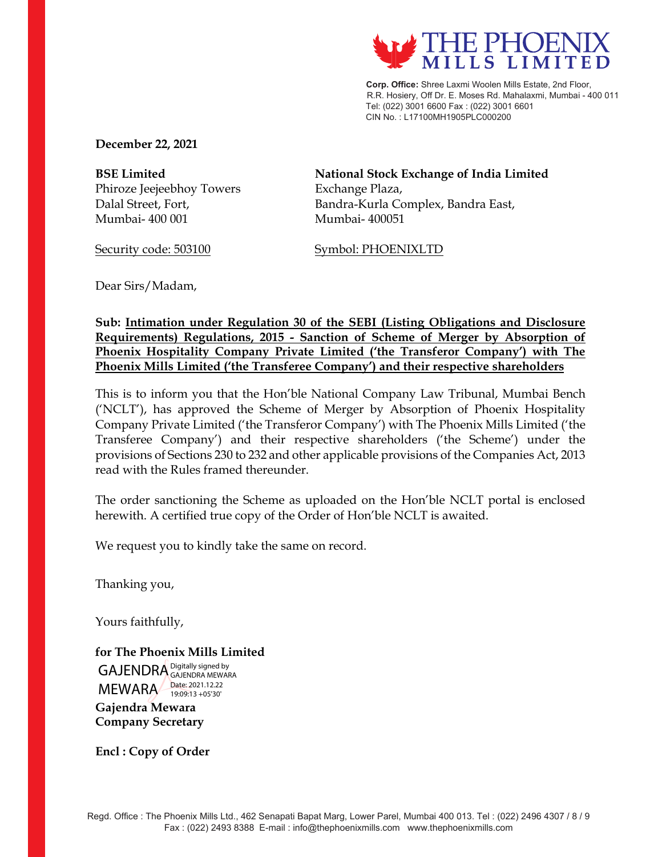

 **Corp. Office:** Shree Laxmi Woolen Mills Estate, 2nd Floor, R.R. Hosiery, Off Dr. E. Moses Rd. Mahalaxmi, Mumbai - 400 011 Tel: (022) 3001 6600 Fax : (022) 3001 6601 CIN No. : L17100MH1905PLC000200

**December 22, 2021** 

Phiroze Jeejeebhoy Towers Exchange Plaza, Mumbai- 400 001 Mumbai- 400051

**BSE Limited National Stock Exchange of India Limited**  Dalal Street, Fort, **Bandra-Kurla Complex**, Bandra East,

Security code: 503100 Symbol: PHOENIXLTD

Dear Sirs/Madam,

**Sub: Intimation under Regulation 30 of the SEBI (Listing Obligations and Disclosure Requirements) Regulations, 2015 - Sanction of Scheme of Merger by Absorption of Phoenix Hospitality Company Private Limited ('the Transferor Company') with The Phoenix Mills Limited ('the Transferee Company') and their respective shareholders** 

This is to inform you that the Hon'ble National Company Law Tribunal, Mumbai Bench ('NCLT'), has approved the Scheme of Merger by Absorption of Phoenix Hospitality Company Private Limited ('the Transferor Company') with The Phoenix Mills Limited ('the Transferee Company') and their respective shareholders ('the Scheme') under the provisions of Sections 230 to 232 and other applicable provisions of the Companies Act, 2013 read with the Rules framed thereunder.

The order sanctioning the Scheme as uploaded on the Hon'ble NCLT portal is enclosed herewith. A certified true copy of the Order of Hon'ble NCLT is awaited.

We request you to kindly take the same on record.

Thanking you,

Yours faithfully,

**for The Phoenix Mills Limited**  GAJENDRA Digitally signed by MEWARA Date: 2021.12.22 GAJENDRA MEWARA 19:09:13 +05'30'

**Gajendra Mewara Company Secretary** 

**Encl : Copy of Order**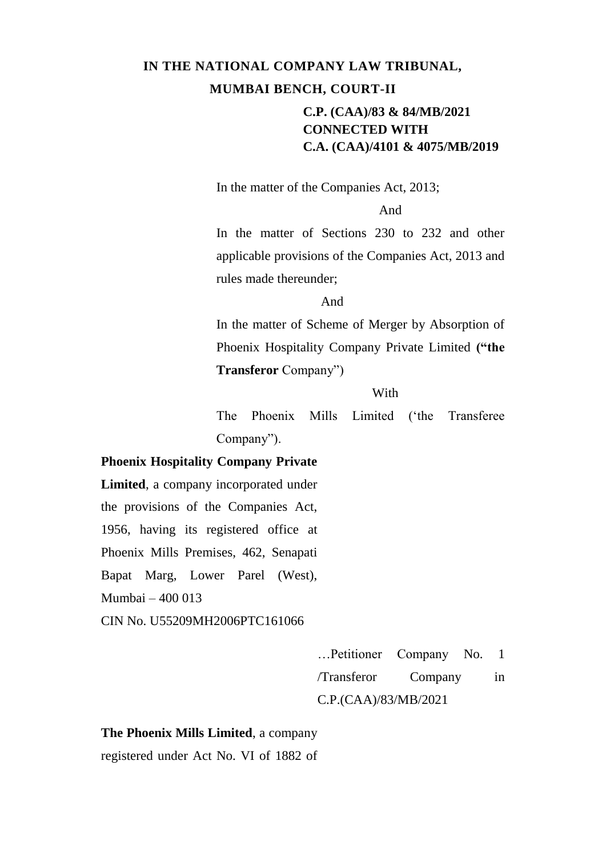In the matter of the Companies Act, 2013;

And

In the matter of Sections 230 to 232 and other applicable provisions of the Companies Act, 2013 and rules made thereunder;

And

In the matter of Scheme of Merger by Absorption of Phoenix Hospitality Company Private Limited **("the Transferor** Company")

**With** 

The Phoenix Mills Limited ('the Transferee Company").

#### **Phoenix Hospitality Company Private**

**Limited**, a company incorporated under the provisions of the Companies Act, 1956, having its registered office at Phoenix Mills Premises, 462, Senapati Bapat Marg, Lower Parel (West), Mumbai – 400 013 CIN No. U55209MH2006PTC161066

> …Petitioner Company No. 1 /Transferor Company in C.P.(CAA)/83/MB/2021

## **The Phoenix Mills Limited**, a company registered under Act No. VI of 1882 of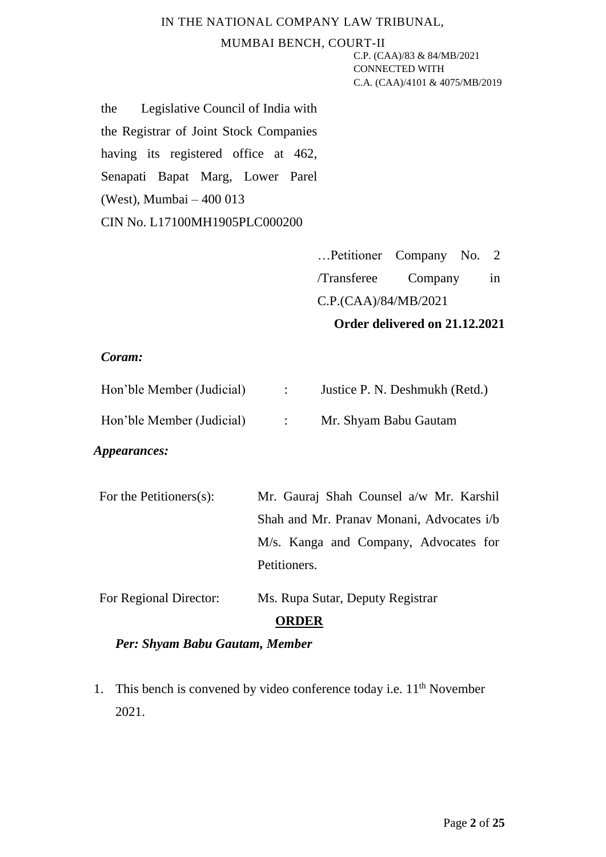#### MUMBAI BENCH, COURT-II

C.P. (CAA)/83 & 84/MB/2021 CONNECTED WITH C.A. (CAA)/4101 & 4075/MB/2019

the Legislative Council of India with the Registrar of Joint Stock Companies having its registered office at 462, Senapati Bapat Marg, Lower Parel (West), Mumbai – 400 013 CIN No. L17100MH1905PLC000200

| Petitioner Company No. 2      |         |  |    |  |
|-------------------------------|---------|--|----|--|
| /Transferee                   | Company |  | in |  |
| C.P.(CAA)/84/MB/2021          |         |  |    |  |
| Order delivered on 21.12.2021 |         |  |    |  |

#### *Coram:*

| Hon'ble Member (Judicial) | Justice P. N. Deshmukh (Retd.) |
|---------------------------|--------------------------------|
| Hon'ble Member (Judicial) | Mr. Shyam Babu Gautam          |

### *Appearances:*

| For the Petitioners $(s)$ : | Mr. Gauraj Shah Counsel a/w Mr. Karshil   |
|-----------------------------|-------------------------------------------|
|                             | Shah and Mr. Pranav Monani, Advocates i/b |
|                             | M/s. Kanga and Company, Advocates for     |
|                             | Petitioners.                              |
| For Regional Director:      | Ms. Rupa Sutar, Deputy Registrar          |

#### **ORDER**

### *Per: Shyam Babu Gautam, Member*

1. This bench is convened by video conference today i.e.  $11<sup>th</sup>$  November 2021.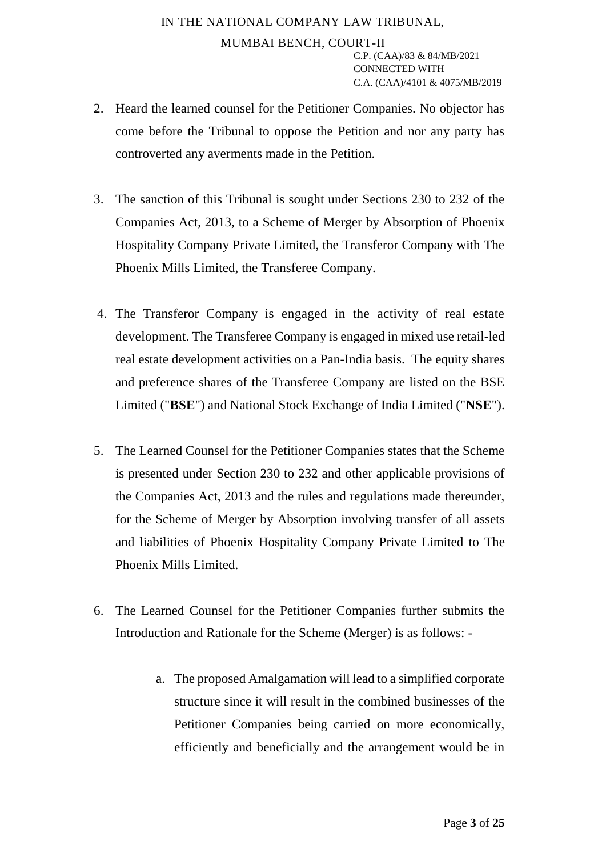- 2. Heard the learned counsel for the Petitioner Companies. No objector has come before the Tribunal to oppose the Petition and nor any party has controverted any averments made in the Petition.
- 3. The sanction of this Tribunal is sought under Sections 230 to 232 of the Companies Act, 2013, to a Scheme of Merger by Absorption of Phoenix Hospitality Company Private Limited, the Transferor Company with The Phoenix Mills Limited, the Transferee Company.
- 4. The Transferor Company is engaged in the activity of real estate development. The Transferee Company is engaged in mixed use retail-led real estate development activities on a Pan-India basis. The equity shares and preference shares of the Transferee Company are listed on the BSE Limited ("**BSE**") and National Stock Exchange of India Limited ("**NSE**").
- 5. The Learned Counsel for the Petitioner Companies states that the Scheme is presented under Section 230 to 232 and other applicable provisions of the Companies Act, 2013 and the rules and regulations made thereunder, for the Scheme of Merger by Absorption involving transfer of all assets and liabilities of Phoenix Hospitality Company Private Limited to The Phoenix Mills Limited.
- 6. The Learned Counsel for the Petitioner Companies further submits the Introduction and Rationale for the Scheme (Merger) is as follows:
	- a. The proposed Amalgamation will lead to a simplified corporate structure since it will result in the combined businesses of the Petitioner Companies being carried on more economically, efficiently and beneficially and the arrangement would be in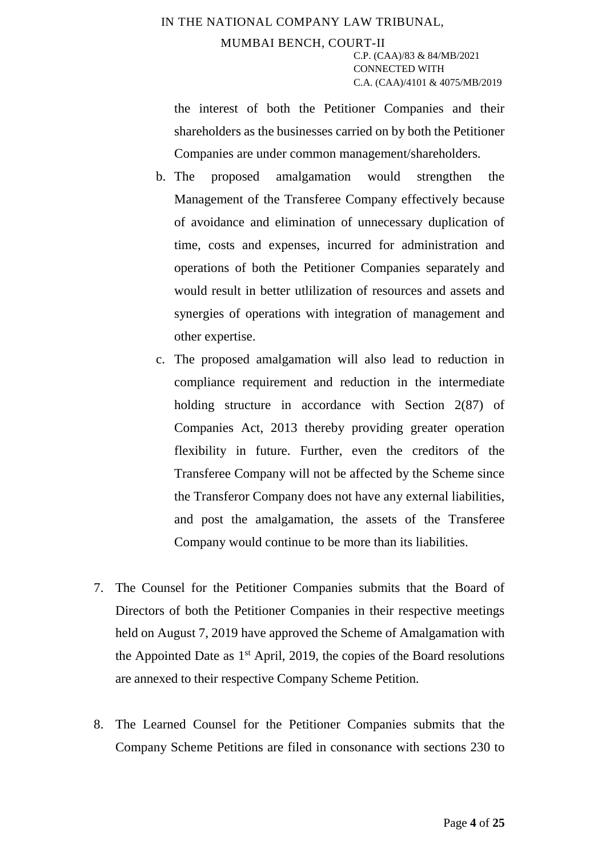the interest of both the Petitioner Companies and their shareholders as the businesses carried on by both the Petitioner Companies are under common management/shareholders.

- b. The proposed amalgamation would strengthen the Management of the Transferee Company effectively because of avoidance and elimination of unnecessary duplication of time, costs and expenses, incurred for administration and operations of both the Petitioner Companies separately and would result in better utlilization of resources and assets and synergies of operations with integration of management and other expertise.
- c. The proposed amalgamation will also lead to reduction in compliance requirement and reduction in the intermediate holding structure in accordance with Section 2(87) of Companies Act, 2013 thereby providing greater operation flexibility in future. Further, even the creditors of the Transferee Company will not be affected by the Scheme since the Transferor Company does not have any external liabilities, and post the amalgamation, the assets of the Transferee Company would continue to be more than its liabilities.
- 7. The Counsel for the Petitioner Companies submits that the Board of Directors of both the Petitioner Companies in their respective meetings held on August 7, 2019 have approved the Scheme of Amalgamation with the Appointed Date as  $1<sup>st</sup>$  April, 2019, the copies of the Board resolutions are annexed to their respective Company Scheme Petition.
- 8. The Learned Counsel for the Petitioner Companies submits that the Company Scheme Petitions are filed in consonance with sections 230 to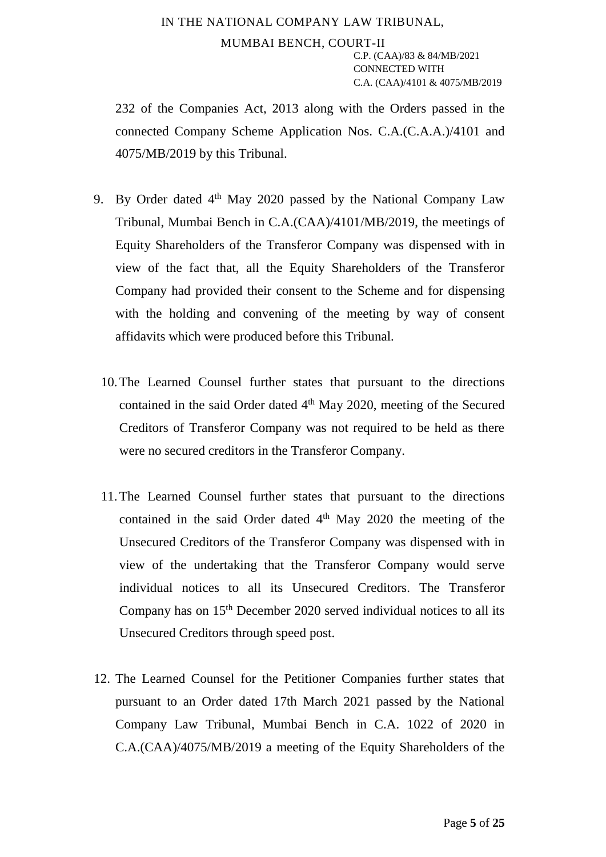232 of the Companies Act, 2013 along with the Orders passed in the connected Company Scheme Application Nos. C.A.(C.A.A.)/4101 and 4075/MB/2019 by this Tribunal.

- 9. By Order dated 4<sup>th</sup> May 2020 passed by the National Company Law Tribunal, Mumbai Bench in C.A.(CAA)/4101/MB/2019, the meetings of Equity Shareholders of the Transferor Company was dispensed with in view of the fact that, all the Equity Shareholders of the Transferor Company had provided their consent to the Scheme and for dispensing with the holding and convening of the meeting by way of consent affidavits which were produced before this Tribunal.
	- 10.The Learned Counsel further states that pursuant to the directions contained in the said Order dated 4<sup>th</sup> May 2020, meeting of the Secured Creditors of Transferor Company was not required to be held as there were no secured creditors in the Transferor Company.
	- 11.The Learned Counsel further states that pursuant to the directions contained in the said Order dated  $4<sup>th</sup>$  May 2020 the meeting of the Unsecured Creditors of the Transferor Company was dispensed with in view of the undertaking that the Transferor Company would serve individual notices to all its Unsecured Creditors. The Transferor Company has on 15<sup>th</sup> December 2020 served individual notices to all its Unsecured Creditors through speed post.
- 12. The Learned Counsel for the Petitioner Companies further states that pursuant to an Order dated 17th March 2021 passed by the National Company Law Tribunal, Mumbai Bench in C.A. 1022 of 2020 in C.A.(CAA)/4075/MB/2019 a meeting of the Equity Shareholders of the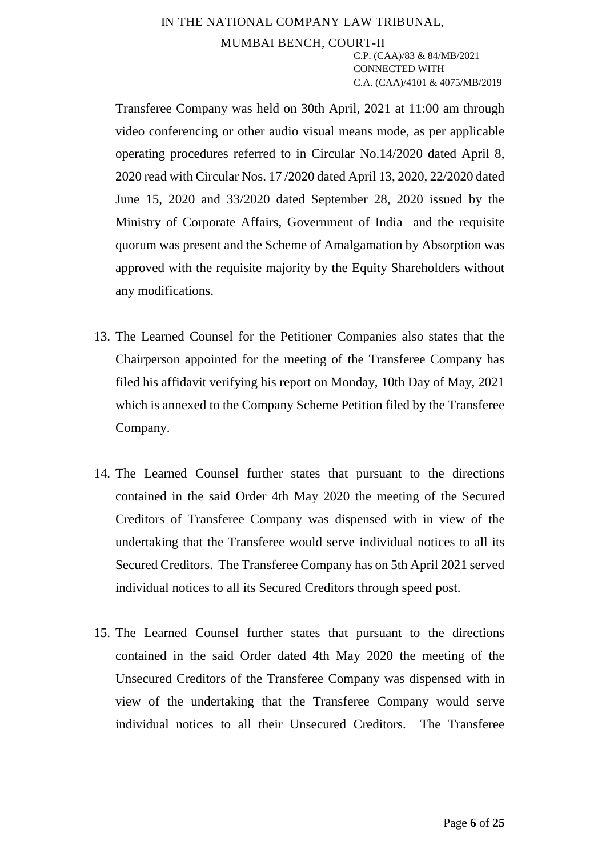Transferee Company was held on 30th April, 2021 at 11:00 am through video conferencing or other audio visual means mode, as per applicable operating procedures referred to in Circular No.14/2020 dated April 8, 2020 read with Circular Nos. 17 /2020 dated April 13, 2020, 22/2020 dated June 15, 2020 and 33/2020 dated September 28, 2020 issued by the Ministry of Corporate Affairs, Government of India and the requisite quorum was present and the Scheme of Amalgamation by Absorption was approved with the requisite majority by the Equity Shareholders without any modifications.

- 13. The Learned Counsel for the Petitioner Companies also states that the Chairperson appointed for the meeting of the Transferee Company has filed his affidavit verifying his report on Monday, 10th Day of May, 2021 which is annexed to the Company Scheme Petition filed by the Transferee Company.
- 14. The Learned Counsel further states that pursuant to the directions contained in the said Order 4th May 2020 the meeting of the Secured Creditors of Transferee Company was dispensed with in view of the undertaking that the Transferee would serve individual notices to all its Secured Creditors. The Transferee Company has on 5th April 2021 served individual notices to all its Secured Creditors through speed post.
- 15. The Learned Counsel further states that pursuant to the directions contained in the said Order dated 4th May 2020 the meeting of the Unsecured Creditors of the Transferee Company was dispensed with in view of the undertaking that the Transferee Company would serve individual notices to all their Unsecured Creditors. The Transferee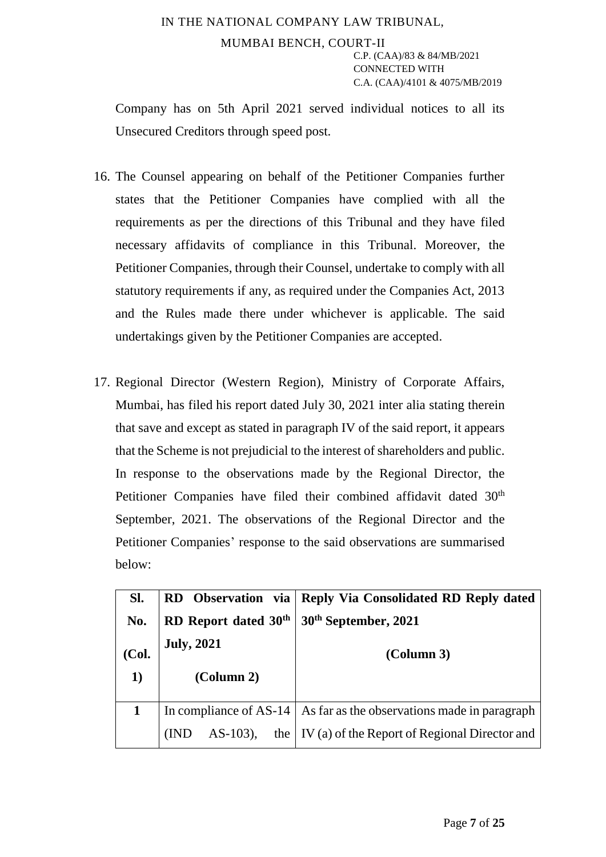Company has on 5th April 2021 served individual notices to all its Unsecured Creditors through speed post.

- 16. The Counsel appearing on behalf of the Petitioner Companies further states that the Petitioner Companies have complied with all the requirements as per the directions of this Tribunal and they have filed necessary affidavits of compliance in this Tribunal. Moreover, the Petitioner Companies, through their Counsel, undertake to comply with all statutory requirements if any, as required under the Companies Act, 2013 and the Rules made there under whichever is applicable. The said undertakings given by the Petitioner Companies are accepted.
- 17. Regional Director (Western Region), Ministry of Corporate Affairs, Mumbai, has filed his report dated July 30, 2021 inter alia stating therein that save and except as stated in paragraph IV of the said report, it appears that the Scheme is not prejudicial to the interest of shareholders and public. In response to the observations made by the Regional Director, the Petitioner Companies have filed their combined affidavit dated 30<sup>th</sup> September, 2021. The observations of the Regional Director and the Petitioner Companies' response to the said observations are summarised below:

| SI.   | RD Observation via               | <b>Reply Via Consolidated RD Reply dated</b>                                |
|-------|----------------------------------|-----------------------------------------------------------------------------|
| No.   | RD Report dated 30 <sup>th</sup> | 30 <sup>th</sup> September, 2021                                            |
| (Col. | <b>July, 2021</b>                | (Column 3)                                                                  |
|       |                                  |                                                                             |
| 1)    | (Column 2)                       |                                                                             |
|       |                                  | In compliance of AS-14 $\vert$ As far as the observations made in paragraph |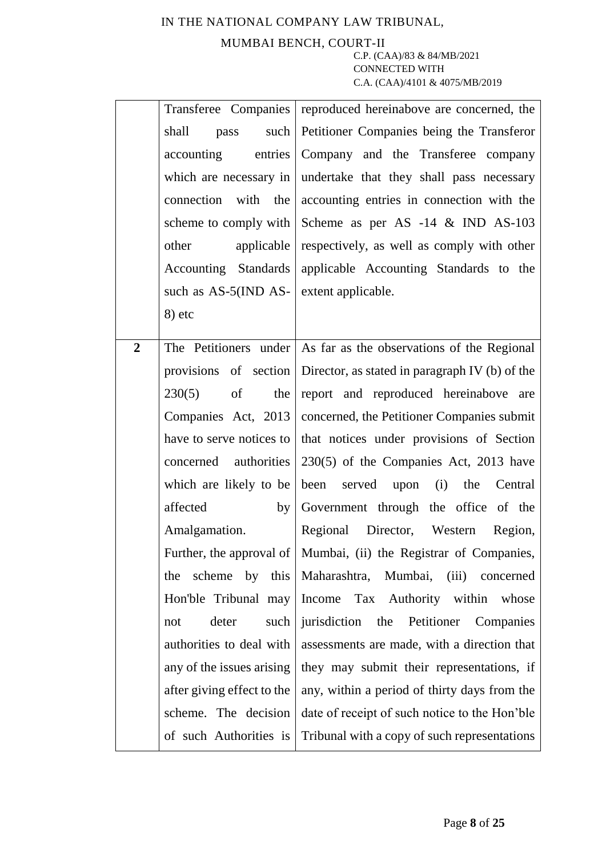### MUMBAI BENCH, COURT-II

|                |                                         | Transferee Companies reproduced hereinabove are concerned, the         |  |  |
|----------------|-----------------------------------------|------------------------------------------------------------------------|--|--|
|                | shall<br>such $\vert$<br>pass           | Petitioner Companies being the Transferor                              |  |  |
|                | entries<br>accounting                   | Company and the Transferee company                                     |  |  |
|                |                                         | which are necessary in undertake that they shall pass necessary        |  |  |
|                | connection with the                     | accounting entries in connection with the                              |  |  |
|                |                                         | scheme to comply with Scheme as per AS $-14 \& NDD AS-103$             |  |  |
|                | other                                   | applicable respectively, as well as comply with other                  |  |  |
|                |                                         | Accounting Standards applicable Accounting Standards to the            |  |  |
|                | such as AS-5(IND AS- extent applicable. |                                                                        |  |  |
|                | $8)$ etc                                |                                                                        |  |  |
|                |                                         |                                                                        |  |  |
| $\overline{2}$ |                                         | The Petitioners under As far as the observations of the Regional       |  |  |
|                |                                         | provisions of section   Director, as stated in paragraph IV (b) of the |  |  |
|                | 230(5)<br>of<br>the                     | report and reproduced hereinabove are                                  |  |  |
|                |                                         | Companies Act, 2013   concerned, the Petitioner Companies submit       |  |  |
|                |                                         | have to serve notices to   that notices under provisions of Section    |  |  |
|                | concerned authorities                   | $230(5)$ of the Companies Act, 2013 have                               |  |  |
|                | which are likely to be                  | been served upon (i) the Central                                       |  |  |
|                | affected<br>by                          | Government through the office of the                                   |  |  |
|                | Amalgamation.                           | Regional Director, Western Region,                                     |  |  |
|                |                                         | Further, the approval of   Mumbai, (ii) the Registrar of Companies,    |  |  |
|                | scheme<br>the                           | by this Maharashtra, Mumbai, (iii) concerned                           |  |  |
|                |                                         | Hon'ble Tribunal may Income Tax Authority within whose                 |  |  |
|                | deter<br>such<br>not                    | jurisdiction the Petitioner Companies                                  |  |  |
|                | authorities to deal with                | assessments are made, with a direction that                            |  |  |
|                | any of the issues arising               | they may submit their representations, if                              |  |  |
|                | after giving effect to the              | any, within a period of thirty days from the                           |  |  |
|                | scheme. The decision                    | date of receipt of such notice to the Hon'ble                          |  |  |
|                | of such Authorities is                  | Tribunal with a copy of such representations                           |  |  |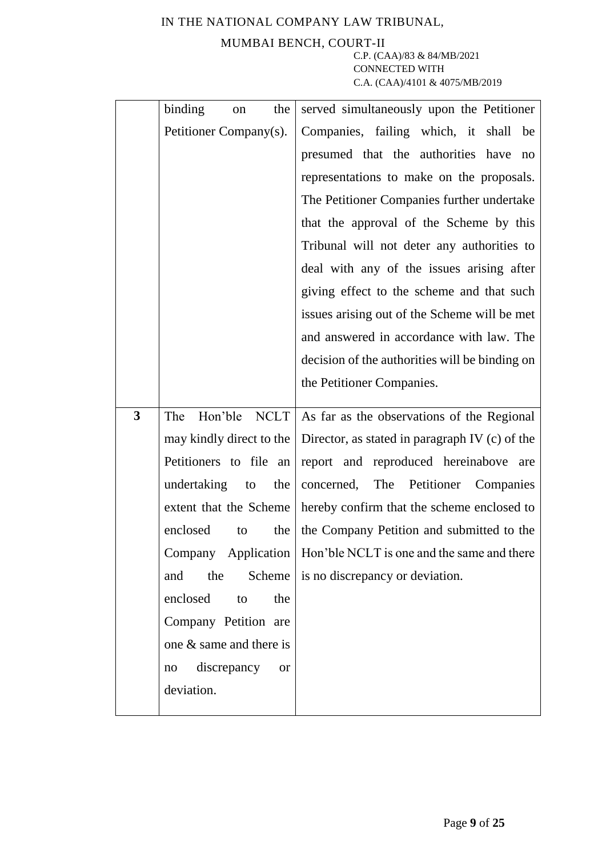## MUMBAI BENCH, COURT-II

|                | binding<br>the<br>on           | served simultaneously upon the Petitioner                                       |  |  |
|----------------|--------------------------------|---------------------------------------------------------------------------------|--|--|
|                | Petitioner Company(s).         | Companies, failing which, it shall be                                           |  |  |
|                |                                | presumed that the authorities have<br>no                                        |  |  |
|                |                                | representations to make on the proposals.                                       |  |  |
|                |                                | The Petitioner Companies further undertake                                      |  |  |
|                |                                | that the approval of the Scheme by this                                         |  |  |
|                |                                | Tribunal will not deter any authorities to                                      |  |  |
|                |                                | deal with any of the issues arising after                                       |  |  |
|                |                                | giving effect to the scheme and that such                                       |  |  |
|                |                                | issues arising out of the Scheme will be met                                    |  |  |
|                |                                | and answered in accordance with law. The                                        |  |  |
|                |                                | decision of the authorities will be binding on                                  |  |  |
|                |                                | the Petitioner Companies.                                                       |  |  |
| $\overline{3}$ | The                            | Hon'ble $NCLT$ As far as the observations of the Regional                       |  |  |
|                |                                | may kindly direct to the $\vert$ Director, as stated in paragraph IV (c) of the |  |  |
|                | Petitioners to file an         | report and reproduced hereinabove are                                           |  |  |
|                | undertaking<br>the<br>to       | concerned, The Petitioner Companies                                             |  |  |
|                | extent that the Scheme         | hereby confirm that the scheme enclosed to                                      |  |  |
|                | enclosed<br>the<br>to          | the Company Petition and submitted to the                                       |  |  |
|                |                                | Company Application   Hon'ble NCLT is one and the same and there                |  |  |
|                | Scheme<br>the<br>and           | is no discrepancy or deviation.                                                 |  |  |
|                | enclosed<br>the<br>to          |                                                                                 |  |  |
|                | Company Petition are           |                                                                                 |  |  |
|                | one & same and there is        |                                                                                 |  |  |
|                | discrepancy<br><b>or</b><br>no |                                                                                 |  |  |
|                | deviation.                     |                                                                                 |  |  |
|                |                                |                                                                                 |  |  |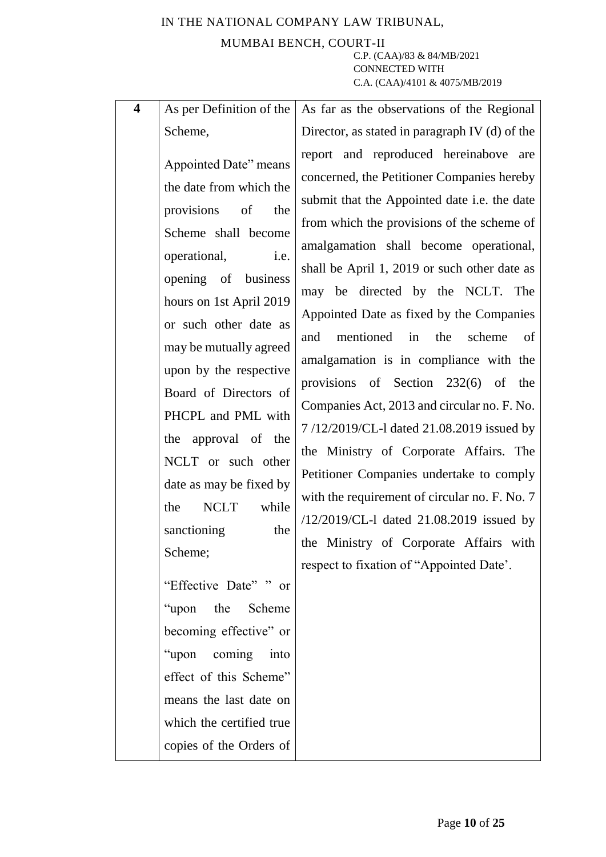### IN THE NATIONAL COMPANY LAW TRIBUNAL, MUMBAI BENCH, COURT-II C.P. (CAA)/83 & 84/MB/2021 CONNECTED WITH

C.A. (CAA)/4101 & 4075/MB/2019

| $\overline{\mathbf{4}}$<br>As per Definition of the                                                                                                                                                                                                                                                                                                                                                                                                                                                                                                                                                                             | As far as the observations of the Regional                                                                                                                                                                                                                                                                                                                                                                                                                                                                                                                                                                                                                                                                                                                                                                                                                              |
|---------------------------------------------------------------------------------------------------------------------------------------------------------------------------------------------------------------------------------------------------------------------------------------------------------------------------------------------------------------------------------------------------------------------------------------------------------------------------------------------------------------------------------------------------------------------------------------------------------------------------------|-------------------------------------------------------------------------------------------------------------------------------------------------------------------------------------------------------------------------------------------------------------------------------------------------------------------------------------------------------------------------------------------------------------------------------------------------------------------------------------------------------------------------------------------------------------------------------------------------------------------------------------------------------------------------------------------------------------------------------------------------------------------------------------------------------------------------------------------------------------------------|
| Scheme,                                                                                                                                                                                                                                                                                                                                                                                                                                                                                                                                                                                                                         | Director, as stated in paragraph IV (d) of the                                                                                                                                                                                                                                                                                                                                                                                                                                                                                                                                                                                                                                                                                                                                                                                                                          |
| Appointed Date" means<br>the date from which the<br>provisions of<br>the<br>Scheme shall become<br>operational,<br>i.e.<br>opening of business<br>hours on 1st April 2019<br>or such other date as<br>may be mutually agreed<br>upon by the respective<br>Board of Directors of<br>PHCPL and PML with<br>the approval of the<br>NCLT or such other<br>date as may be fixed by<br><b>NCLT</b><br>while<br>the<br>sanctioning<br>the<br>Scheme;<br>"Effective Date" " or<br>"upon<br>the<br>Scheme<br>becoming effective" or<br>"upon coming into<br>effect of this Scheme"<br>means the last date on<br>which the certified true | report and reproduced hereinabove are<br>concerned, the Petitioner Companies hereby<br>submit that the Appointed date i.e. the date<br>from which the provisions of the scheme of<br>amalgamation shall become operational,<br>shall be April 1, 2019 or such other date as<br>may be directed by the NCLT. The<br>Appointed Date as fixed by the Companies<br>mentioned<br>the<br>scheme<br>and<br>in<br>of<br>amalgamation is in compliance with the<br>provisions of Section $232(6)$ of<br>the<br>Companies Act, 2013 and circular no. F. No.<br>7/12/2019/CL-1 dated 21.08.2019 issued by<br>the Ministry of Corporate Affairs. The<br>Petitioner Companies undertake to comply<br>with the requirement of circular no. F. No. 7<br>/12/2019/CL-1 dated 21.08.2019 issued by<br>the Ministry of Corporate Affairs with<br>respect to fixation of "Appointed Date'. |
| copies of the Orders of                                                                                                                                                                                                                                                                                                                                                                                                                                                                                                                                                                                                         |                                                                                                                                                                                                                                                                                                                                                                                                                                                                                                                                                                                                                                                                                                                                                                                                                                                                         |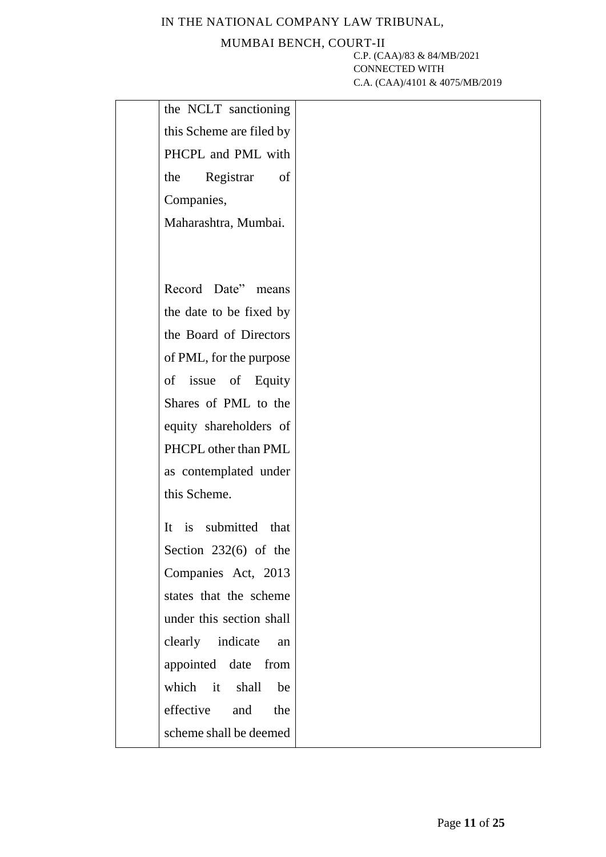### MUMBAI BENCH, COURT-II

| the NCLT sanctioning                          |  |
|-----------------------------------------------|--|
| this Scheme are filed by                      |  |
| PHCPL and PML with                            |  |
| of<br>the<br>Registrar                        |  |
| Companies,                                    |  |
| Maharashtra, Mumbai.                          |  |
|                                               |  |
|                                               |  |
| Record Date"<br>means                         |  |
| the date to be fixed by                       |  |
| the Board of Directors                        |  |
| of PML, for the purpose                       |  |
| of issue of Equity                            |  |
| Shares of PML to the                          |  |
| equity shareholders of                        |  |
| PHCPL other than PML                          |  |
| as contemplated under                         |  |
| this Scheme.                                  |  |
| is submitted<br>It<br>that                    |  |
|                                               |  |
| Section $232(6)$ of the                       |  |
| Companies Act, 2013<br>states that the scheme |  |
| under this section shall                      |  |
|                                               |  |
| clearly indicate<br>an                        |  |
| appointed date from                           |  |
| which it shall be                             |  |
| effective and<br>the                          |  |
| scheme shall be deemed                        |  |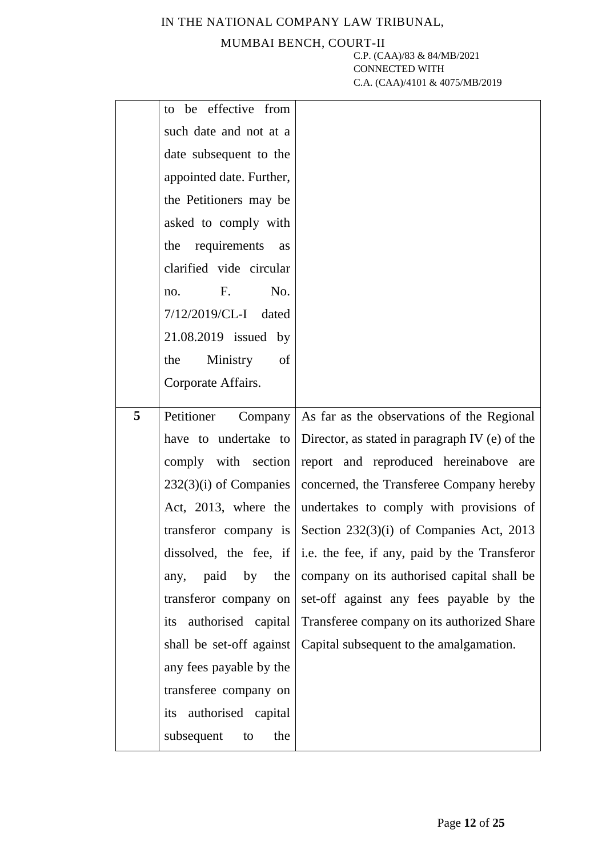### MUMBAI BENCH, COURT-II

|   | to be effective from      |                                                                     |
|---|---------------------------|---------------------------------------------------------------------|
|   | such date and not at a    |                                                                     |
|   | date subsequent to the    |                                                                     |
|   | appointed date. Further,  |                                                                     |
|   | the Petitioners may be    |                                                                     |
|   | asked to comply with      |                                                                     |
|   | requirements<br>the<br>as |                                                                     |
|   | clarified vide circular   |                                                                     |
|   | $F_{\cdot}$<br>No.<br>no. |                                                                     |
|   | $7/12/2019$ /CL-I dated   |                                                                     |
|   | 21.08.2019 issued by      |                                                                     |
|   | Ministry<br>of<br>the     |                                                                     |
|   | Corporate Affairs.        |                                                                     |
|   |                           |                                                                     |
| 5 | Petitioner                | Company $\vert$ As far as the observations of the Regional          |
|   |                           |                                                                     |
|   |                           | have to undertake to Director, as stated in paragraph IV (e) of the |
|   | comply with section       | report and reproduced hereinabove are                               |
|   | $232(3)(i)$ of Companies  | concerned, the Transferee Company hereby                            |
|   | Act, 2013, where the      | undertakes to comply with provisions of                             |
|   |                           | transferor company is Section 232(3)(i) of Companies Act, 2013      |
|   |                           | dissolved, the fee, if i.e. the fee, if any, paid by the Transferor |
|   | paid<br>by the<br>any,    | company on its authorised capital shall be                          |
|   | transferor company on     | set-off against any fees payable by the                             |
|   | its authorised capital    | Transferee company on its authorized Share                          |
|   | shall be set-off against  | Capital subsequent to the amalgamation.                             |
|   | any fees payable by the   |                                                                     |
|   | transferee company on     |                                                                     |
|   | its authorised capital    |                                                                     |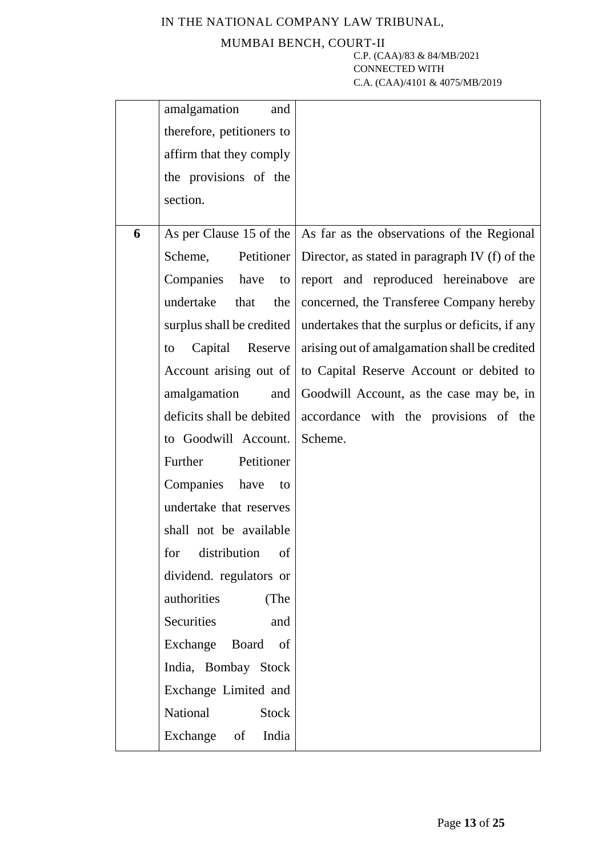### MUMBAI BENCH, COURT-II

|   | amalgamation<br>and       |                                                                            |
|---|---------------------------|----------------------------------------------------------------------------|
|   | therefore, petitioners to |                                                                            |
|   | affirm that they comply   |                                                                            |
|   | the provisions of the     |                                                                            |
|   | section.                  |                                                                            |
|   |                           |                                                                            |
| 6 |                           | As per Clause 15 of the $\vert$ As far as the observations of the Regional |
|   | Petitioner<br>Scheme,     | Director, as stated in paragraph IV (f) of the                             |
|   | Companies have<br>to      | report and reproduced hereinabove are                                      |
|   | undertake<br>that<br>the  | concerned, the Transferee Company hereby                                   |
|   | surplus shall be credited | undertakes that the surplus or deficits, if any                            |
|   | Capital Reserve<br>to     | arising out of amalgamation shall be credited                              |
|   | Account arising out of    | to Capital Reserve Account or debited to                                   |
|   | amalgamation<br>and       | Goodwill Account, as the case may be, in                                   |
|   | deficits shall be debited | accordance with the provisions of the                                      |
|   | to Goodwill Account.      | Scheme.                                                                    |
|   | Petitioner<br>Further     |                                                                            |
|   | Companies have<br>to      |                                                                            |
|   | undertake that reserves   |                                                                            |
|   | shall not be available    |                                                                            |
|   | for distribution<br>of    |                                                                            |
|   | dividend. regulators or   |                                                                            |
|   | authorities<br>(The       |                                                                            |
|   | Securities<br>and         |                                                                            |
|   | Exchange Board<br>of      |                                                                            |
|   | India, Bombay Stock       |                                                                            |
|   | Exchange Limited and      |                                                                            |
|   | National<br><b>Stock</b>  |                                                                            |
|   | Exchange<br>India<br>of   |                                                                            |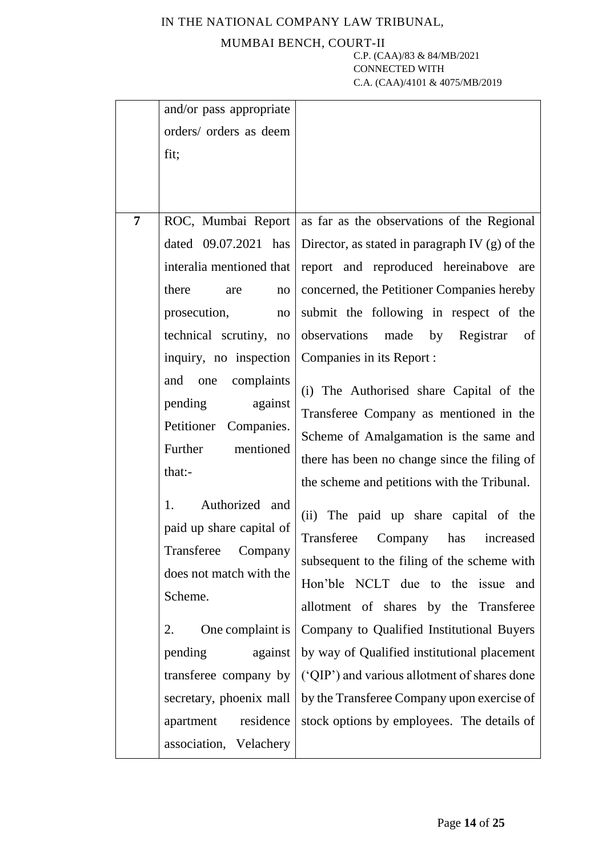### MUMBAI BENCH, COURT-II

| $\overline{7}$ | and/or pass appropriate<br>orders/ orders as deem<br>fit;<br>dated 09.07.2021 has<br>interalia mentioned that<br>there<br>are<br>no<br>prosecution,<br>no                                                                                                                           | ROC, Mumbai Report as far as the observations of the Regional<br>Director, as stated in paragraph IV (g) of the<br>report and reproduced hereinabove are<br>concerned, the Petitioner Companies hereby<br>submit the following in respect of the                                                                                                                                                                                                                                                                      |
|----------------|-------------------------------------------------------------------------------------------------------------------------------------------------------------------------------------------------------------------------------------------------------------------------------------|-----------------------------------------------------------------------------------------------------------------------------------------------------------------------------------------------------------------------------------------------------------------------------------------------------------------------------------------------------------------------------------------------------------------------------------------------------------------------------------------------------------------------|
|                | technical scrutiny, no<br>inquiry, no inspection<br>complaints<br>and<br>one<br>against<br>pending<br>Companies.<br>Petitioner<br>mentioned<br>Further<br>that:-<br>Authorized and<br>1.<br>paid up share capital of<br>Transferee<br>Company<br>does not match with the<br>Scheme. | observations<br>made by Registrar<br>of<br>Companies in its Report :<br>(i) The Authorised share Capital of the<br>Transferee Company as mentioned in the<br>Scheme of Amalgamation is the same and<br>there has been no change since the filing of<br>the scheme and petitions with the Tribunal.<br>(ii) The paid up share capital of the<br>Transferee<br>Company<br>has<br>increased<br>subsequent to the filing of the scheme with<br>Hon'ble NCLT due to the issue and<br>allotment of shares by the Transferee |
|                | One complaint is<br>2.<br>against<br>pending<br>transferee company by<br>secretary, phoenix mall<br>residence<br>apartment<br>association, Velachery                                                                                                                                | Company to Qualified Institutional Buyers<br>by way of Qualified institutional placement<br>('QIP') and various allotment of shares done<br>by the Transferee Company upon exercise of<br>stock options by employees. The details of                                                                                                                                                                                                                                                                                  |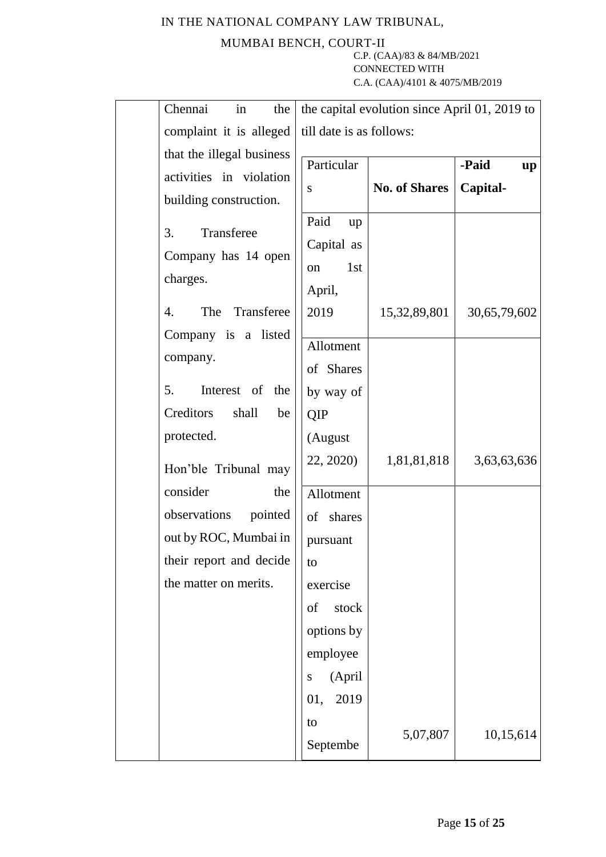### MUMBAI BENCH, COURT-II

| Chennai<br>the<br>in                                                                                                    | the capital evolution since April 01, 2019 to                                         |                      |              |
|-------------------------------------------------------------------------------------------------------------------------|---------------------------------------------------------------------------------------|----------------------|--------------|
| complaint it is alleged                                                                                                 | till date is as follows:                                                              |                      |              |
| that the illegal business                                                                                               | Particular                                                                            |                      | -Paid<br>up  |
| activities in violation<br>building construction.                                                                       | ${\bf S}$                                                                             | <b>No. of Shares</b> | Capital-     |
| Transferee<br>3.<br>Company has 14 open<br>charges.                                                                     | Paid<br>up<br>Capital as<br>1 <sub>st</sub><br>on<br>April,                           |                      |              |
| Transferee<br>$\overline{4}$ .<br>The<br>Company is a listed                                                            | 2019                                                                                  | 15, 32, 89, 801      | 30,65,79,602 |
| company.                                                                                                                | Allotment<br>of Shares                                                                |                      |              |
| 5.<br>Interest of the<br>Creditors<br>shall<br>be                                                                       | by way of<br>QIP                                                                      |                      |              |
| protected.<br>Hon'ble Tribunal may                                                                                      | (August<br>22, 2020)                                                                  | 1,81,81,818          | 3,63,63,636  |
| consider<br>the<br>observations<br>pointed<br>out by ROC, Mumbai in<br>their report and decide<br>the matter on merits. | Allotment<br>shares<br>of<br>pursuant<br>to<br>exercise                               |                      |              |
|                                                                                                                         | stock<br>of<br>options by<br>employee<br>(April<br>S<br>2019<br>01,<br>to<br>Septembe | 5,07,807             | 10,15,614    |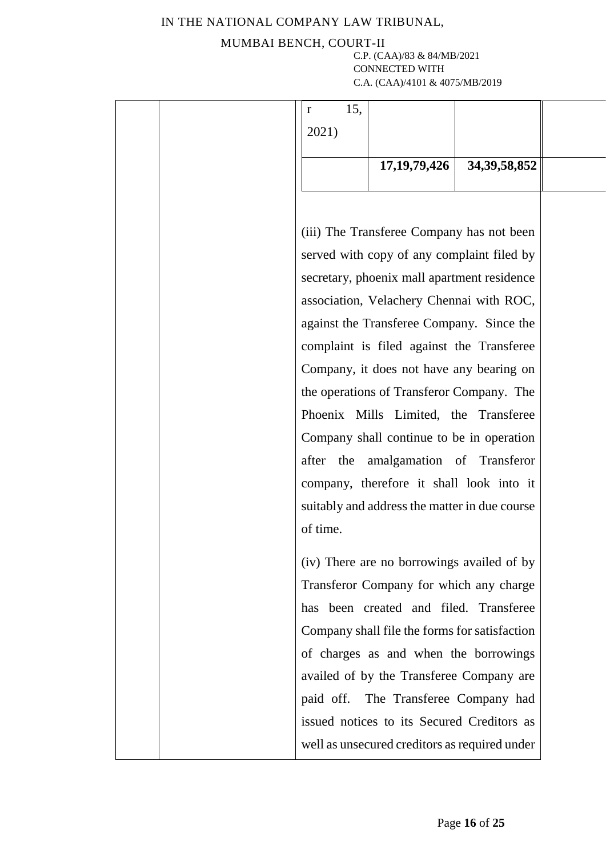### MUMBAI BENCH, COURT-II

|  | 15,<br>r  |                                               |                 |  |
|--|-----------|-----------------------------------------------|-----------------|--|
|  | 2021)     |                                               |                 |  |
|  |           |                                               |                 |  |
|  |           | 17, 19, 79, 426                               | 34, 39, 58, 852 |  |
|  |           |                                               |                 |  |
|  |           |                                               |                 |  |
|  |           | (iii) The Transferee Company has not been     |                 |  |
|  |           | served with copy of any complaint filed by    |                 |  |
|  |           | secretary, phoenix mall apartment residence   |                 |  |
|  |           | association, Velachery Chennai with ROC,      |                 |  |
|  |           | against the Transferee Company. Since the     |                 |  |
|  |           | complaint is filed against the Transferee     |                 |  |
|  |           | Company, it does not have any bearing on      |                 |  |
|  |           | the operations of Transferor Company. The     |                 |  |
|  |           | Phoenix Mills Limited, the Transferee         |                 |  |
|  |           | Company shall continue to be in operation     |                 |  |
|  | after the | amalgamation of Transferor                    |                 |  |
|  |           | company, therefore it shall look into it      |                 |  |
|  |           | suitably and address the matter in due course |                 |  |
|  | of time.  |                                               |                 |  |
|  |           | (iv) There are no borrowings availed of by    |                 |  |
|  |           | Transferor Company for which any charge       |                 |  |
|  |           | has been created and filed. Transferee        |                 |  |
|  |           | Company shall file the forms for satisfaction |                 |  |
|  |           | of charges as and when the borrowings         |                 |  |
|  |           | availed of by the Transferee Company are      |                 |  |
|  | paid off. | The Transferee Company had                    |                 |  |
|  |           | issued notices to its Secured Creditors as    |                 |  |
|  |           | well as unsecured creditors as required under |                 |  |
|  |           |                                               |                 |  |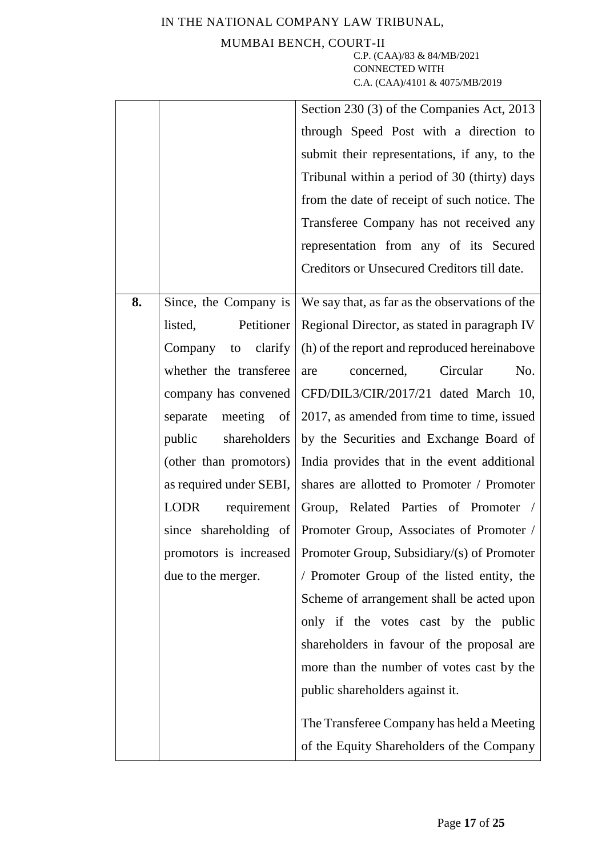### MUMBAI BENCH, COURT-II

|    |                         | Section 230 (3) of the Companies Act, 2013                             |
|----|-------------------------|------------------------------------------------------------------------|
|    |                         | through Speed Post with a direction to                                 |
|    |                         | submit their representations, if any, to the                           |
|    |                         | Tribunal within a period of 30 (thirty) days                           |
|    |                         | from the date of receipt of such notice. The                           |
|    |                         | Transferee Company has not received any                                |
|    |                         | representation from any of its Secured                                 |
|    |                         | Creditors or Unsecured Creditors till date.                            |
| 8. | Since, the Company is   | We say that, as far as the observations of the                         |
|    | Petitioner<br>listed,   | Regional Director, as stated in paragraph IV                           |
|    | Company to clarify      | (h) of the report and reproduced hereinabove                           |
|    | whether the transferee  | Circular<br>concerned,<br>No.<br>are                                   |
|    |                         | company has convened   CFD/DIL3/CIR/2017/21 dated March 10,            |
|    | separate meeting of     | 2017, as amended from time to time, issued                             |
|    | public<br>shareholders  | by the Securities and Exchange Board of                                |
|    | (other than promotors)  | India provides that in the event additional                            |
|    | as required under SEBI, | shares are allotted to Promoter / Promoter                             |
|    | LODR<br>requirement     | Group, Related Parties of Promoter /                                   |
|    |                         | since shareholding of Promoter Group, Associates of Promoter /         |
|    |                         | promotors is increased   Promoter Group, Subsidiary/ $(s)$ of Promoter |
|    | due to the merger.      | / Promoter Group of the listed entity, the                             |
|    |                         | Scheme of arrangement shall be acted upon                              |
|    |                         | only if the votes cast by the public                                   |
|    |                         | shareholders in favour of the proposal are                             |
|    |                         | more than the number of votes cast by the                              |
|    |                         | public shareholders against it.                                        |
|    |                         | The Transferee Company has held a Meeting                              |
|    |                         | of the Equity Shareholders of the Company                              |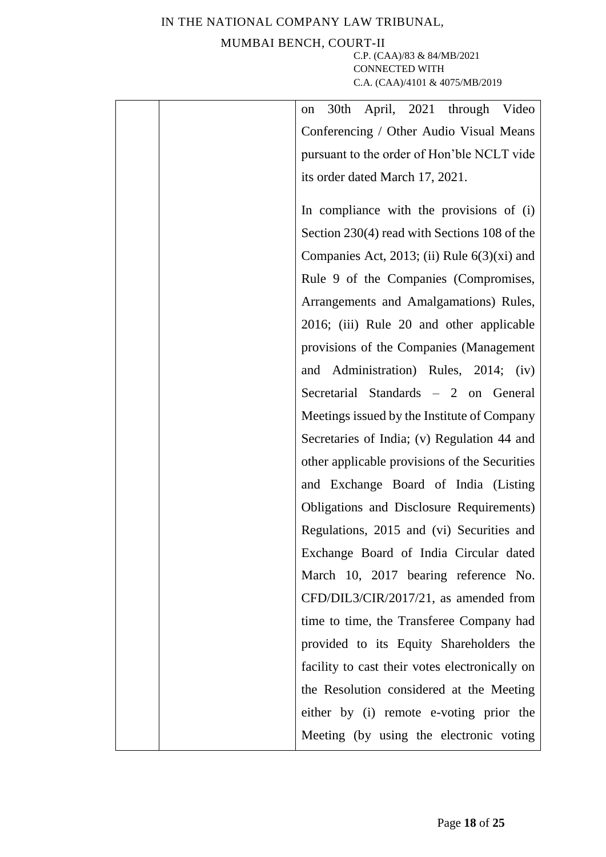## MUMBAI BENCH, COURT-II

| April, 2021 through Video<br>30th<br>on        |
|------------------------------------------------|
| Conferencing / Other Audio Visual Means        |
| pursuant to the order of Hon'ble NCLT vide     |
| its order dated March 17, 2021.                |
| In compliance with the provisions of (i)       |
| Section 230(4) read with Sections 108 of the   |
| Companies Act, 2013; (ii) Rule $6(3)(xi)$ and  |
| Rule 9 of the Companies (Compromises,          |
| Arrangements and Amalgamations) Rules,         |
| 2016; (iii) Rule 20 and other applicable       |
| provisions of the Companies (Management        |
| and Administration) Rules, 2014; (iv)          |
| Secretarial Standards - 2 on General           |
| Meetings issued by the Institute of Company    |
| Secretaries of India; (v) Regulation 44 and    |
| other applicable provisions of the Securities  |
| and Exchange Board of India (Listing           |
| Obligations and Disclosure Requirements)       |
| Regulations, 2015 and (vi) Securities and      |
| Exchange Board of India Circular dated         |
| March 10, 2017 bearing reference No.           |
| CFD/DIL3/CIR/2017/21, as amended from          |
| time to time, the Transferee Company had       |
| provided to its Equity Shareholders the        |
| facility to cast their votes electronically on |
| the Resolution considered at the Meeting       |
| either by (i) remote e-voting prior the        |
| Meeting (by using the electronic voting        |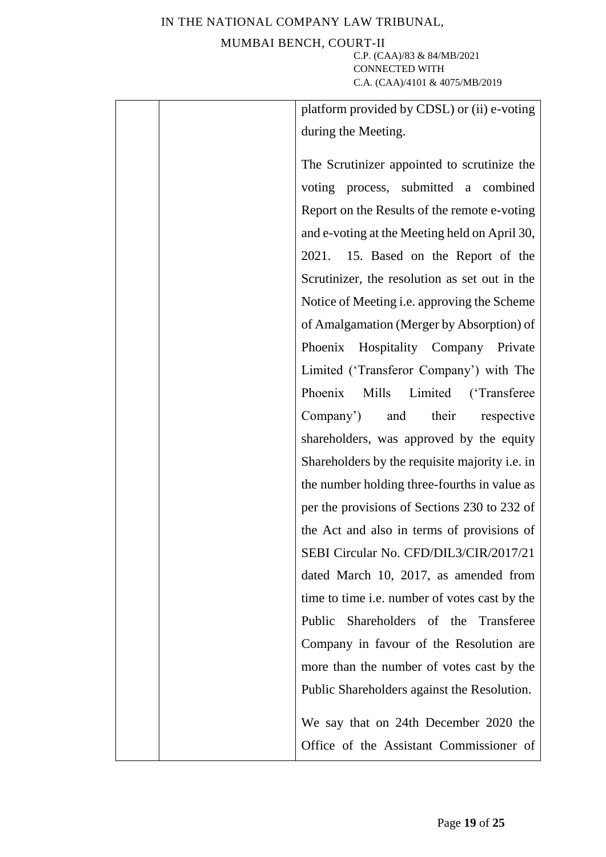### MUMBAI BENCH, COURT-II

| platform provided by CDSL) or (ii) e-voting        |
|----------------------------------------------------|
| during the Meeting.                                |
| The Scrutinizer appointed to scrutinize the        |
|                                                    |
| voting process, submitted a combined               |
| Report on the Results of the remote e-voting       |
| and e-voting at the Meeting held on April 30,      |
| 2021. 15. Based on the Report of the               |
| Scrutinizer, the resolution as set out in the      |
| Notice of Meeting <i>i.e.</i> approving the Scheme |
| of Amalgamation (Merger by Absorption) of          |
| Phoenix Hospitality Company Private                |
| Limited ('Transferor Company') with The            |
| Phoenix<br>Mills Limited<br>('Transferee           |
| Company') and their<br>respective                  |
| shareholders, was approved by the equity           |
| Shareholders by the requisite majority i.e. in     |
| the number holding three-fourths in value as       |
| per the provisions of Sections 230 to 232 of       |
| the Act and also in terms of provisions of         |
| SEBI Circular No. CFD/DIL3/CIR/2017/21             |
| dated March 10, 2017, as amended from              |
| time to time i.e. number of votes cast by the      |
| Public Shareholders of the Transferee              |
| Company in favour of the Resolution are            |
| more than the number of votes cast by the          |
| Public Shareholders against the Resolution.        |
| We say that on 24th December 2020 the              |
| Office of the Assistant Commissioner of            |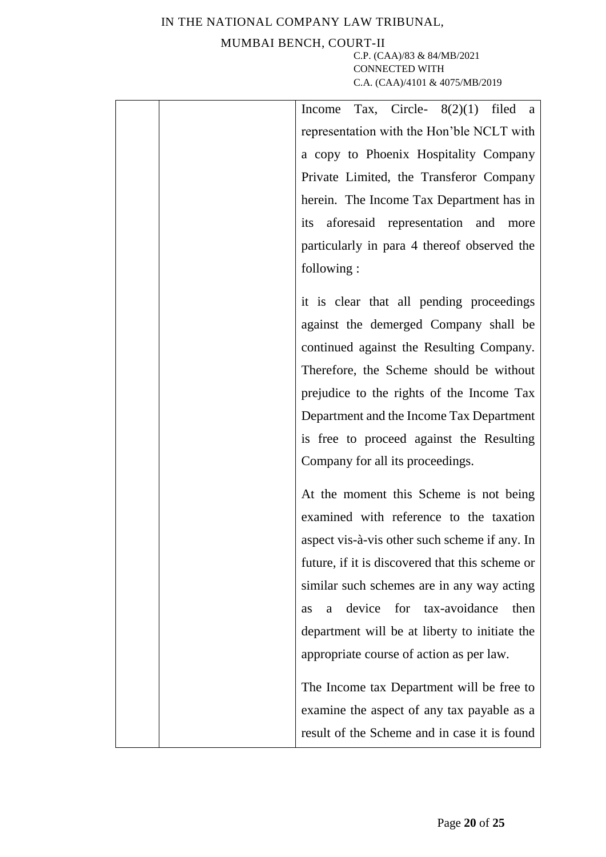### MUMBAI BENCH, COURT-II

| Tax, Circle- $8(2)(1)$ filed a<br>Income        |
|-------------------------------------------------|
| representation with the Hon'ble NCLT with       |
| a copy to Phoenix Hospitality Company           |
| Private Limited, the Transferor Company         |
| herein. The Income Tax Department has in        |
| its aforesaid representation and more           |
| particularly in para 4 thereof observed the     |
| following:                                      |
|                                                 |
| it is clear that all pending proceedings        |
| against the demerged Company shall be           |
| continued against the Resulting Company.        |
| Therefore, the Scheme should be without         |
| prejudice to the rights of the Income Tax       |
| Department and the Income Tax Department        |
| is free to proceed against the Resulting        |
| Company for all its proceedings.                |
| At the moment this Scheme is not being          |
| examined with reference to the taxation         |
| aspect vis-à-vis other such scheme if any. In   |
| future, if it is discovered that this scheme or |
| similar such schemes are in any way acting      |
| device for tax-avoidance<br>then<br>a<br>as     |
| department will be at liberty to initiate the   |
| appropriate course of action as per law.        |
|                                                 |
| The Income tax Department will be free to       |
| examine the aspect of any tax payable as a      |
| result of the Scheme and in case it is found    |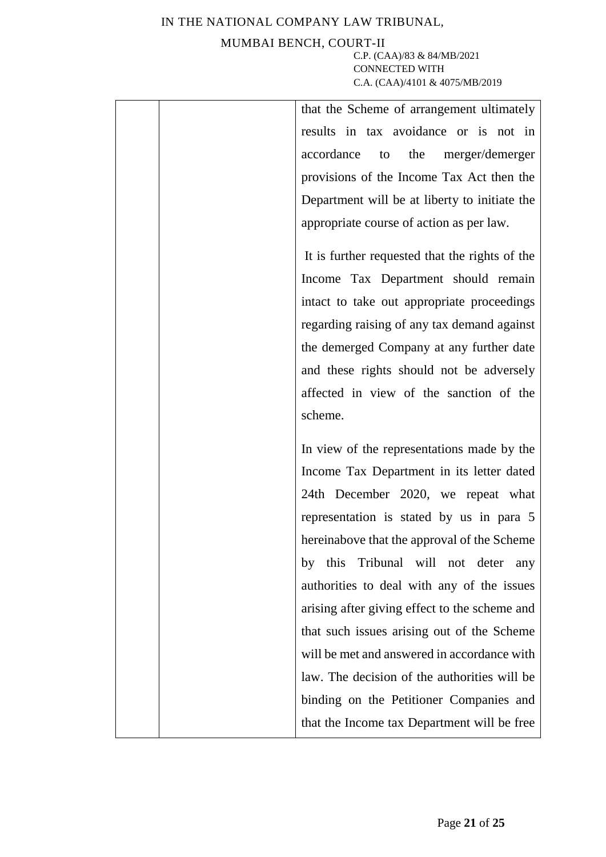### MUMBAI BENCH, COURT-II

| that the Scheme of arrangement ultimately      |
|------------------------------------------------|
| results in tax avoidance or is not in          |
| accordance to the<br>merger/demerger           |
| provisions of the Income Tax Act then the      |
| Department will be at liberty to initiate the  |
| appropriate course of action as per law.       |
| It is further requested that the rights of the |
| Income Tax Department should remain            |
| intact to take out appropriate proceedings     |
| regarding raising of any tax demand against    |
| the demerged Company at any further date       |
| and these rights should not be adversely       |
| affected in view of the sanction of the        |
| scheme.                                        |
| In view of the representations made by the     |
| Income Tax Department in its letter dated      |
| 24th December 2020, we repeat what             |
| representation is stated by us in para 5       |
| hereinabove that the approval of the Scheme    |
| this Tribunal will not deter any<br>by         |
| authorities to deal with any of the issues     |
| arising after giving effect to the scheme and  |
| that such issues arising out of the Scheme     |
| will be met and answered in accordance with    |
| law. The decision of the authorities will be   |
| binding on the Petitioner Companies and        |
| that the Income tax Department will be free    |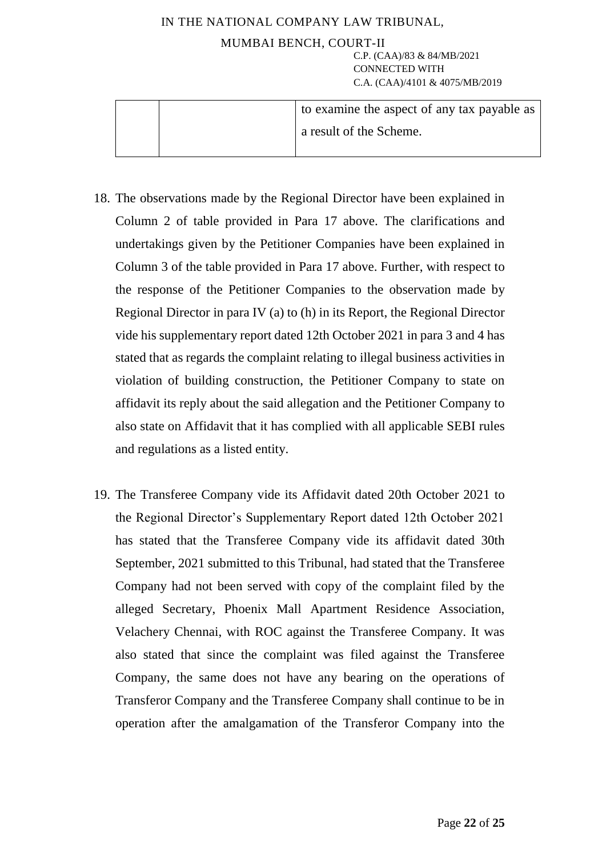|  | to examine the aspect of any tax payable as |
|--|---------------------------------------------|
|  | a result of the Scheme.                     |
|  |                                             |

- 18. The observations made by the Regional Director have been explained in Column 2 of table provided in Para 17 above. The clarifications and undertakings given by the Petitioner Companies have been explained in Column 3 of the table provided in Para 17 above. Further, with respect to the response of the Petitioner Companies to the observation made by Regional Director in para IV (a) to (h) in its Report, the Regional Director vide his supplementary report dated 12th October 2021 in para 3 and 4 has stated that as regards the complaint relating to illegal business activities in violation of building construction, the Petitioner Company to state on affidavit its reply about the said allegation and the Petitioner Company to also state on Affidavit that it has complied with all applicable SEBI rules and regulations as a listed entity.
- 19. The Transferee Company vide its Affidavit dated 20th October 2021 to the Regional Director's Supplementary Report dated 12th October 2021 has stated that the Transferee Company vide its affidavit dated 30th September, 2021 submitted to this Tribunal, had stated that the Transferee Company had not been served with copy of the complaint filed by the alleged Secretary, Phoenix Mall Apartment Residence Association, Velachery Chennai, with ROC against the Transferee Company. It was also stated that since the complaint was filed against the Transferee Company, the same does not have any bearing on the operations of Transferor Company and the Transferee Company shall continue to be in operation after the amalgamation of the Transferor Company into the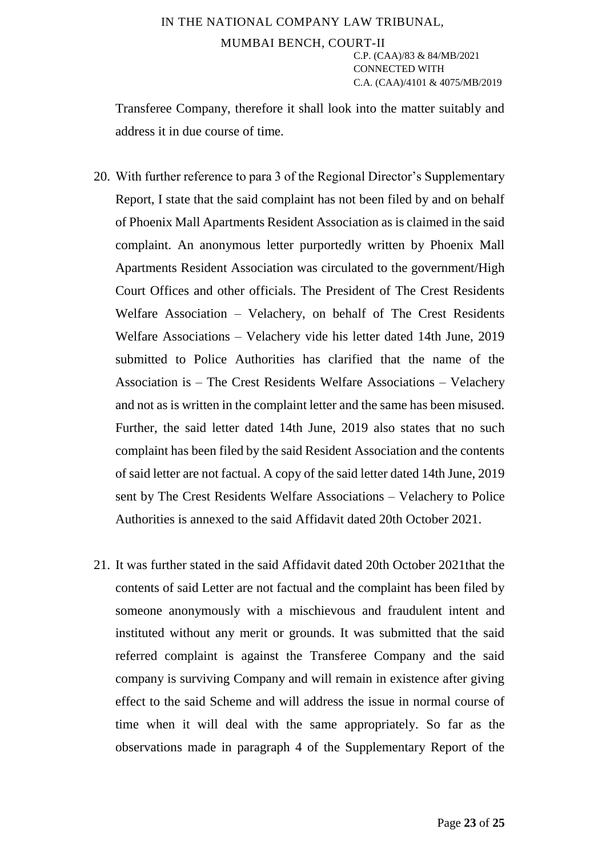Transferee Company, therefore it shall look into the matter suitably and address it in due course of time.

- 20. With further reference to para 3 of the Regional Director's Supplementary Report, I state that the said complaint has not been filed by and on behalf of Phoenix Mall Apartments Resident Association as is claimed in the said complaint. An anonymous letter purportedly written by Phoenix Mall Apartments Resident Association was circulated to the government/High Court Offices and other officials. The President of The Crest Residents Welfare Association – Velachery, on behalf of The Crest Residents Welfare Associations – Velachery vide his letter dated 14th June, 2019 submitted to Police Authorities has clarified that the name of the Association is – The Crest Residents Welfare Associations – Velachery and not as is written in the complaint letter and the same has been misused. Further, the said letter dated 14th June, 2019 also states that no such complaint has been filed by the said Resident Association and the contents of said letter are not factual. A copy of the said letter dated 14th June, 2019 sent by The Crest Residents Welfare Associations – Velachery to Police Authorities is annexed to the said Affidavit dated 20th October 2021.
- 21. It was further stated in the said Affidavit dated 20th October 2021that the contents of said Letter are not factual and the complaint has been filed by someone anonymously with a mischievous and fraudulent intent and instituted without any merit or grounds. It was submitted that the said referred complaint is against the Transferee Company and the said company is surviving Company and will remain in existence after giving effect to the said Scheme and will address the issue in normal course of time when it will deal with the same appropriately. So far as the observations made in paragraph 4 of the Supplementary Report of the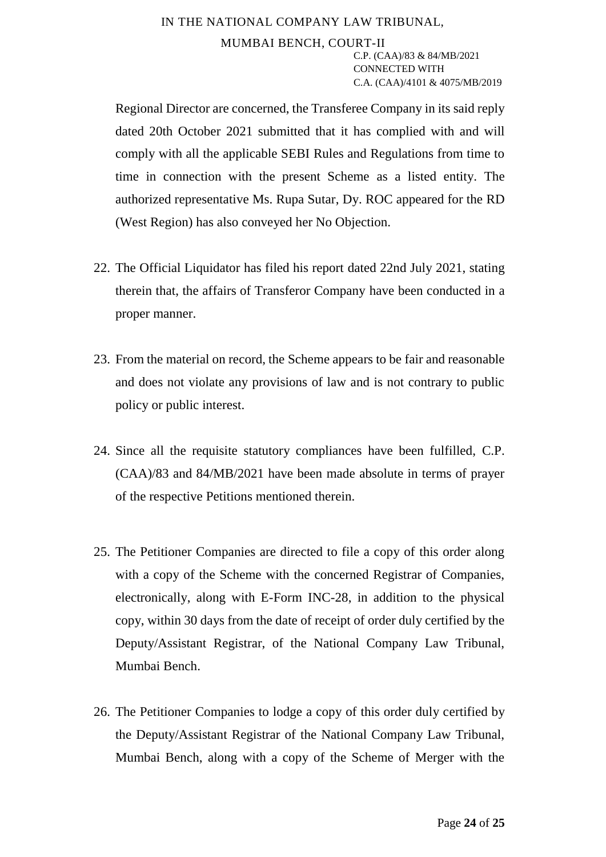Regional Director are concerned, the Transferee Company in its said reply dated 20th October 2021 submitted that it has complied with and will comply with all the applicable SEBI Rules and Regulations from time to time in connection with the present Scheme as a listed entity. The authorized representative Ms. Rupa Sutar, Dy. ROC appeared for the RD (West Region) has also conveyed her No Objection.

- 22. The Official Liquidator has filed his report dated 22nd July 2021, stating therein that, the affairs of Transferor Company have been conducted in a proper manner.
- 23. From the material on record, the Scheme appears to be fair and reasonable and does not violate any provisions of law and is not contrary to public policy or public interest.
- 24. Since all the requisite statutory compliances have been fulfilled, C.P. (CAA)/83 and 84/MB/2021 have been made absolute in terms of prayer of the respective Petitions mentioned therein.
- 25. The Petitioner Companies are directed to file a copy of this order along with a copy of the Scheme with the concerned Registrar of Companies, electronically, along with E-Form INC-28, in addition to the physical copy, within 30 days from the date of receipt of order duly certified by the Deputy/Assistant Registrar, of the National Company Law Tribunal, Mumbai Bench.
- 26. The Petitioner Companies to lodge a copy of this order duly certified by the Deputy/Assistant Registrar of the National Company Law Tribunal, Mumbai Bench, along with a copy of the Scheme of Merger with the